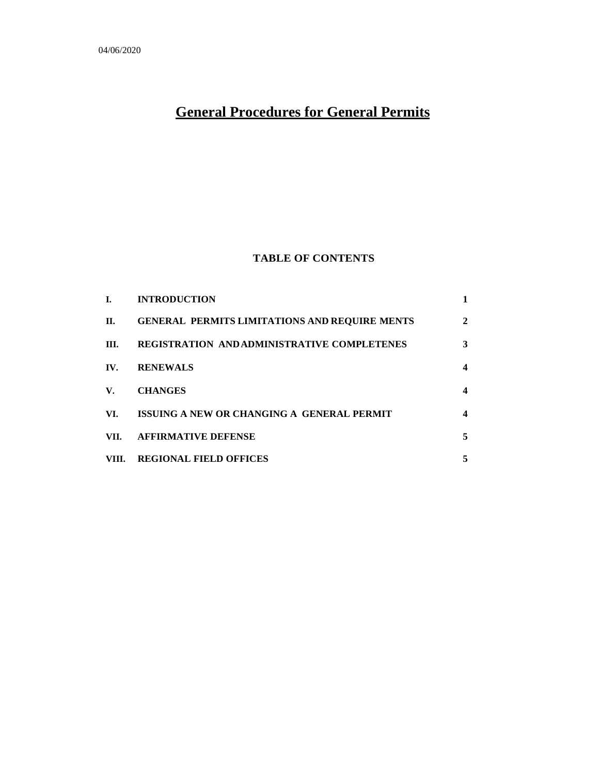# **General Procedures for General Permits**

# **TABLE OF CONTENTS**

| L.          | <b>INTRODUCTION</b>                                  |                  |
|-------------|------------------------------------------------------|------------------|
| П.          | <b>GENERAL PERMITS LIMITATIONS AND REQUIRE MENTS</b> | $\mathbf{2}$     |
| III.        | <b>REGISTRATION AND ADMINISTRATIVE COMPLETENES</b>   | 3                |
| IV.         | <b>RENEWALS</b>                                      | $\boldsymbol{4}$ |
| $V_{\star}$ | <b>CHANGES</b>                                       | 4                |
| VI.         | ISSUING A NEW OR CHANGING A GENERAL PERMIT           | 4                |
| VII.        | <b>AFFIRMATIVE DEFENSE</b>                           | 5                |
| VIII.       | <b>REGIONAL FIELD OFFICES</b>                        | 5                |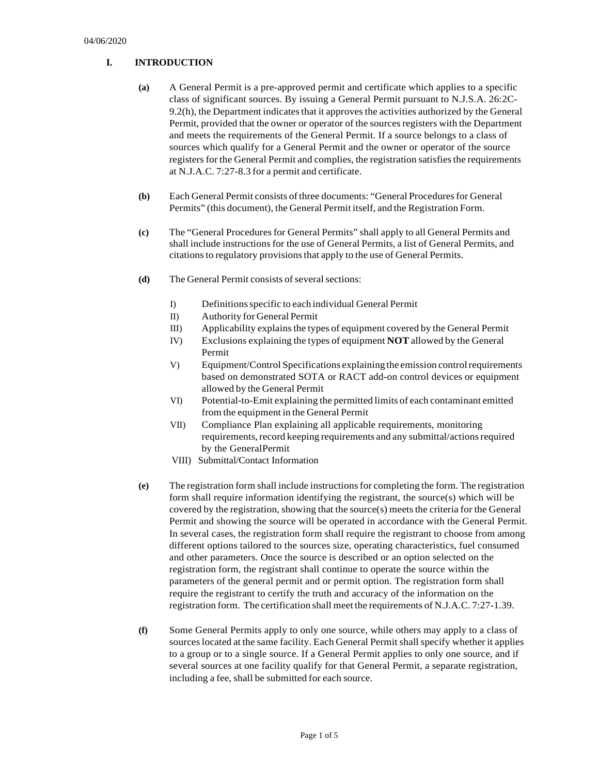# **I. INTRODUCTION**

- **(a)** A General Permit is a pre-approved permit and certificate which applies to a specific class of significant sources. By issuing a General Permit pursuant to N.J.S.A. 26:2C-9.2(h), the Department indicates that it approves the activities authorized by the General Permit, provided that the owner or operator of the sources registers with the Department and meets the requirements of the General Permit. If a source belongs to a class of sources which qualify for a General Permit and the owner or operator of the source registers for the General Permit and complies, the registration satisfies the requirements at N.J.A.C. 7:27-8.3 for a permit and certificate.
- **(b)** Each General Permit consists of three documents: "General Procedures for General Permits" (this document), the General Permit itself, and the Registration Form.
- **(c)** The "General Proceduresfor General Permits" shall apply to all General Permits and shall include instructionsfor the use of General Permits, a list of General Permits, and citationsto regulatory provisionsthat apply to the use of General Permits.
- **(d)** The General Permit consists of several sections:
	- I) Definitions specific to each individual General Permit
	- II) Authority for General Permit
	- III) Applicability explainsthe types of equipment covered by the General Permit
	- IV) Exclusions explaining the types of equipment **NOT** allowed by the General Permit
	- V) Equipment/Control Specifications explaining the emission control requirements based on demonstrated SOTA or RACT add-on control devices or equipment allowed by the General Permit
	- VI) Potential-to-Emit explaining the permitted limits of each contaminant emitted from the equipment in the General Permit
	- VII) Compliance Plan explaining all applicable requirements, monitoring requirements, record keeping requirements and any submittal/actions required by the GeneralPermit
	- VIII) Submittal/Contact Information
- **(e)** The registration form shall include instructionsfor completing the form. The registration form shall require information identifying the registrant, the source(s) which will be covered by the registration, showing that the source(s) meetsthe criteria for the General Permit and showing the source will be operated in accordance with the General Permit. In several cases, the registration form shall require the registrant to choose from among different options tailored to the sources size, operating characteristics, fuel consumed and other parameters. Once the source is described or an option selected on the registration form, the registrant shall continue to operate the source within the parameters of the general permit and or permit option. The registration form shall require the registrant to certify the truth and accuracy of the information on the registration form. The certification shall meet the requirements of N.J.A.C. 7:27-1.39.
- **(f)** Some General Permits apply to only one source, while others may apply to a class of sourceslocated at the same facility. Each General Permit shall specify whether it applies to a group or to a single source. If a General Permit applies to only one source, and if several sources at one facility qualify for that General Permit, a separate registration, including a fee, shall be submitted for each source.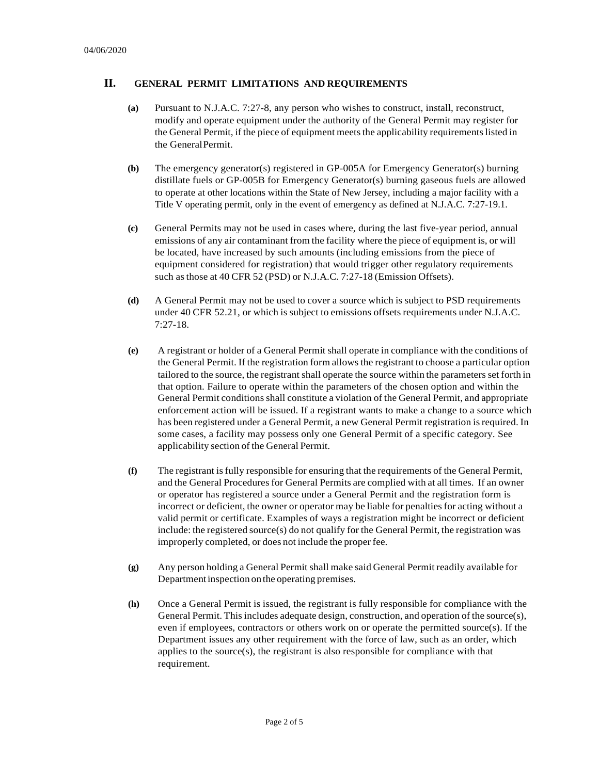# **II. GENERAL PERMIT LIMITATIONS AND REQUIREMENTS**

- **(a)** Pursuant to N.J.A.C. 7:27-8, any person who wishes to construct, install, reconstruct, modify and operate equipment under the authority of the General Permit may register for the General Permit, if the piece of equipment meets the applicability requirements listed in the GeneralPermit.
- **(b)** The emergency generator(s) registered in GP-005A for Emergency Generator(s) burning distillate fuels or GP-005B for Emergency Generator(s) burning gaseous fuels are allowed to operate at other locations within the State of New Jersey, including a major facility with a Title V operating permit, only in the event of emergency as defined at N.J.A.C. 7:27-19.1.
- **(c)** General Permits may not be used in cases where, during the last five-year period, annual emissions of any air contaminant from the facility where the piece of equipment is, or will be located, have increased by such amounts (including emissions from the piece of equipment considered for registration) that would trigger other regulatory requirements such asthose at 40 CFR 52 (PSD) or N.J.A.C. 7:27-18 (Emission Offsets).
- **(d)** A General Permit may not be used to cover a source which is subject to PSD requirements under 40 CFR 52.21, or which is subject to emissions offsets requirements under N.J.A.C. 7:27-18.
- **(e)** A registrant or holder of a General Permit shall operate in compliance with the conditions of the General Permit. If the registration form allows the registrant to choose a particular option tailored to the source, the registrant shall operate the source within the parameters set forth in that option. Failure to operate within the parameters of the chosen option and within the General Permit conditions shall constitute a violation of the General Permit, and appropriate enforcement action will be issued. If a registrant wants to make a change to a source which has been registered under a General Permit, a new General Permit registration is required. In some cases, a facility may possess only one General Permit of a specific category. See applicability section of the General Permit.
- **(f)** The registrant isfully responsible for ensuring that the requirements of the General Permit, and the General Procedures for General Permits are complied with at all times. If an owner or operator has registered a source under a General Permit and the registration form is incorrect or deficient, the owner or operator may be liable for penalties for acting without a valid permit or certificate. Examples of ways a registration might be incorrect or deficient include: the registered source(s) do not qualify for the General Permit, the registration was improperly completed, or does not include the proper fee.
- **(g)** Any person holding a General Permit shall make said General Permit readily available for Departmentinspection on the operating premises.
- **(h)** Once a General Permit is issued, the registrant is fully responsible for compliance with the General Permit. This includes adequate design, construction, and operation of the source(s), even if employees, contractors or others work on or operate the permitted source(s). If the Department issues any other requirement with the force of law, such as an order, which applies to the source(s), the registrant is also responsible for compliance with that requirement.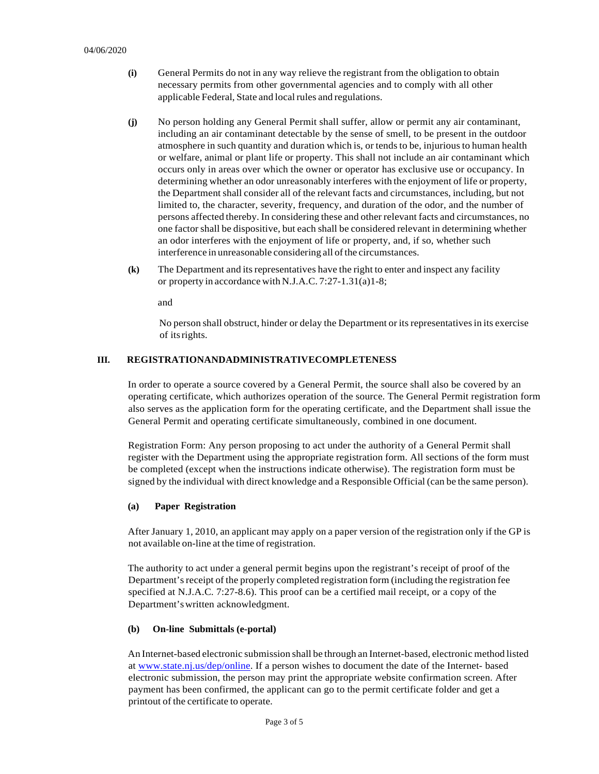- **(i)** General Permits do not in any way relieve the registrant from the obligation to obtain necessary permits from other governmental agencies and to comply with all other applicable Federal, State and local rules and regulations.
- **(j)** No person holding any General Permit shall suffer, allow or permit any air contaminant, including an air contaminant detectable by the sense of smell, to be present in the outdoor atmosphere in such quantity and duration which is, or tends to be, injurious to human health or welfare, animal or plant life or property. This shall not include an air contaminant which occurs only in areas over which the owner or operator has exclusive use or occupancy. In determining whether an odor unreasonably interferes with the enjoyment of life or property, the Department shall consider all of the relevant facts and circumstances, including, but not limited to, the character, severity, frequency, and duration of the odor, and the number of persons affected thereby. In considering these and other relevant facts and circumstances, no one factorshall be dispositive, but each shall be considered relevant in determining whether an odor interferes with the enjoyment of life or property, and, if so, whether such interference in unreasonable considering all of the circumstances.
- **(k)** The Department and itsrepresentatives have the right to enter and inspect any facility or property in accordance with N.J.A.C. 7:27-1.31(a)1-8;

and

No person shall obstruct, hinder or delay the Department or its representatives in its exercise of itsrights.

#### **III. REGISTRATIONANDADMINISTRATIVECOMPLETENESS**

In order to operate a source covered by a General Permit, the source shall also be covered by an operating certificate, which authorizes operation of the source. The General Permit registration form also serves as the application form for the operating certificate, and the Department shall issue the General Permit and operating certificate simultaneously, combined in one document.

Registration Form: Any person proposing to act under the authority of a General Permit shall register with the Department using the appropriate registration form. All sections of the form must be completed (except when the instructions indicate otherwise). The registration form must be signed by the individual with direct knowledge and a Responsible Official (can be the same person).

#### **(a) Paper Registration**

After January 1, 2010, an applicant may apply on a paper version of the registration only if the GP is not available on-line at the time of registration.

The authority to act under a general permit begins upon the registrant's receipt of proof of the Department's receipt of the properly completed registration form (including the registration fee specified at N.J.A.C. 7:27-8.6). This proof can be a certified mail receipt, or a copy of the Department'swritten acknowledgment.

#### **(b) On-line Submittals (e-portal)**

An Internet-based electronic submission shall be through an Internet-based, electronic method listed at [www.state.nj.us/dep/online. I](http://www.state.nj.us/dep/online)f a person wishes to document the date of the Internet- based electronic submission, the person may print the appropriate website confirmation screen. After payment has been confirmed, the applicant can go to the permit certificate folder and get a printout of the certificate to operate.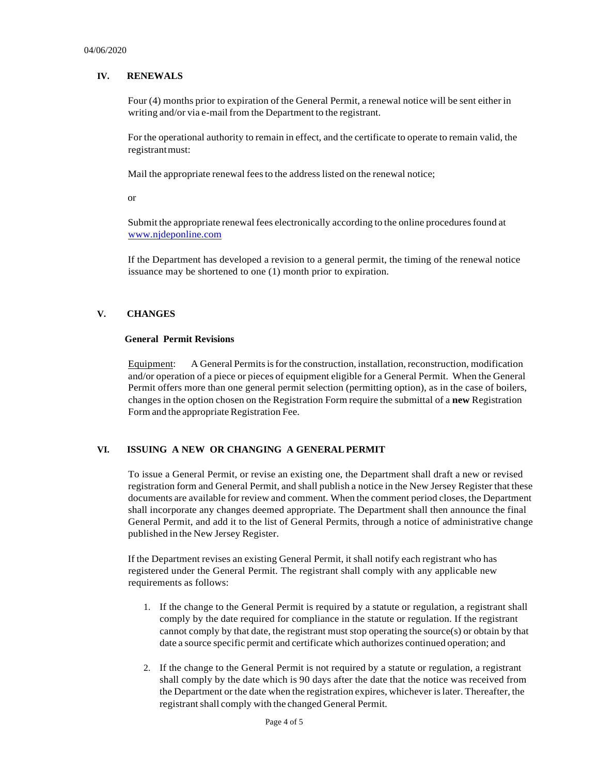## **IV. RENEWALS**

Four (4) months prior to expiration of the General Permit, a renewal notice will be sent either in writing and/or via e-mail from the Department to the registrant.

For the operational authority to remain in effect, and the certificate to operate to remain valid, the registrantmust:

Mail the appropriate renewal feesto the address listed on the renewal notice;

or

Submit the appropriate renewal fees electronically according to the online proceduresfound at [www.njdeponline.com](http://www.njdeponline.com/)

If the Department has developed a revision to a general permit, the timing of the renewal notice issuance may be shortened to one (1) month prior to expiration.

#### **V. CHANGES**

#### **General Permit Revisions**

Equipment: A General Permits is for the construction, installation, reconstruction, modification and/or operation of a piece or pieces of equipment eligible for a General Permit. When the General Permit offers more than one general permit selection (permitting option), as in the case of boilers, changes in the option chosen on the Registration Form require the submittal of a **new** Registration Form and the appropriate Registration Fee.

## **VI. ISSUING A NEW OR CHANGING A GENERALPERMIT**

To issue a General Permit, or revise an existing one, the Department shall draft a new or revised registration form and General Permit, and shall publish a notice in the New Jersey Register that these documents are available for review and comment. When the comment period closes, the Department shall incorporate any changes deemed appropriate. The Department shall then announce the final General Permit, and add it to the list of General Permits, through a notice of administrative change published in the New Jersey Register.

If the Department revises an existing General Permit, it shall notify each registrant who has registered under the General Permit. The registrant shall comply with any applicable new requirements as follows:

- 1. If the change to the General Permit is required by a statute or regulation, a registrant shall comply by the date required for compliance in the statute or regulation. If the registrant cannot comply by that date, the registrant must stop operating the source(s) or obtain by that date a source specific permit and certificate which authorizes continued operation; and
- 2. If the change to the General Permit is not required by a statute or regulation, a registrant shall comply by the date which is 90 days after the date that the notice was received from the Department or the date when the registration expires, whichever islater. Thereafter, the registrant shall comply with the changed General Permit.